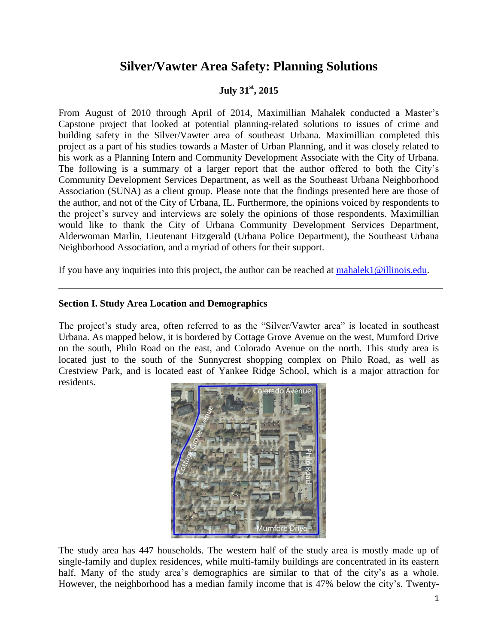# **Silver/Vawter Area Safety: Planning Solutions**

## **July 31st , 2015**

From August of 2010 through April of 2014, Maximillian Mahalek conducted a Master's Capstone project that looked at potential planning-related solutions to issues of crime and building safety in the Silver/Vawter area of southeast Urbana. Maximillian completed this project as a part of his studies towards a Master of Urban Planning, and it was closely related to his work as a Planning Intern and Community Development Associate with the City of Urbana. The following is a summary of a larger report that the author offered to both the City's Community Development Services Department, as well as the Southeast Urbana Neighborhood Association (SUNA) as a client group. Please note that the findings presented here are those of the author, and not of the City of Urbana, IL. Furthermore, the opinions voiced by respondents to the project's survey and interviews are solely the opinions of those respondents. Maximillian would like to thank the City of Urbana Community Development Services Department, Alderwoman Marlin, Lieutenant Fitzgerald (Urbana Police Department), the Southeast Urbana Neighborhood Association, and a myriad of others for their support.

If you have any inquiries into this project, the author can be reached at [mahalek1@illinois.edu.](mailto:mahalek1@illinois.edu)

#### **Section I. Study Area Location and Demographics**

The project's study area, often referred to as the "Silver/Vawter area" is located in southeast Urbana. As mapped below, it is bordered by Cottage Grove Avenue on the west, Mumford Drive on the south, Philo Road on the east, and Colorado Avenue on the north. This study area is located just to the south of the Sunnycrest shopping complex on Philo Road, as well as Crestview Park, and is located east of Yankee Ridge School, which is a major attraction for residents.



The study area has 447 households. The western half of the study area is mostly made up of single-family and duplex residences, while multi-family buildings are concentrated in its eastern half. Many of the study area's demographics are similar to that of the city's as a whole. However, the neighborhood has a median family income that is 47% below the city's. Twenty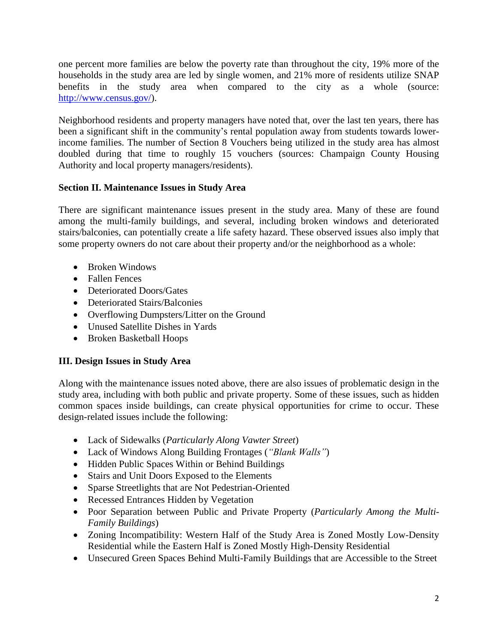one percent more families are below the poverty rate than throughout the city, 19% more of the households in the study area are led by single women, and 21% more of residents utilize SNAP benefits in the study area when compared to the city as a whole (source: [http://www.census.gov/\)](http://www.census.gov/).

Neighborhood residents and property managers have noted that, over the last ten years, there has been a significant shift in the community's rental population away from students towards lowerincome families. The number of Section 8 Vouchers being utilized in the study area has almost doubled during that time to roughly 15 vouchers (sources: Champaign County Housing Authority and local property managers/residents).

### **Section II. Maintenance Issues in Study Area**

There are significant maintenance issues present in the study area. Many of these are found among the multi-family buildings, and several, including broken windows and deteriorated stairs/balconies, can potentially create a life safety hazard. These observed issues also imply that some property owners do not care about their property and/or the neighborhood as a whole:

- Broken Windows
- Fallen Fences
- Deteriorated Doors/Gates
- Deteriorated Stairs/Balconies
- Overflowing Dumpsters/Litter on the Ground
- Unused Satellite Dishes in Yards
- Broken Basketball Hoops

## **III. Design Issues in Study Area**

Along with the maintenance issues noted above, there are also issues of problematic design in the study area, including with both public and private property. Some of these issues, such as hidden common spaces inside buildings, can create physical opportunities for crime to occur. These design-related issues include the following:

- Lack of Sidewalks (*Particularly Along Vawter Street*)
- Lack of Windows Along Building Frontages (*"Blank Walls"*)
- Hidden Public Spaces Within or Behind Buildings
- Stairs and Unit Doors Exposed to the Elements
- Sparse Streetlights that are Not Pedestrian-Oriented
- Recessed Entrances Hidden by Vegetation
- Poor Separation between Public and Private Property (*Particularly Among the Multi-Family Buildings*)
- Zoning Incompatibility: Western Half of the Study Area is Zoned Mostly Low-Density Residential while the Eastern Half is Zoned Mostly High-Density Residential
- Unsecured Green Spaces Behind Multi-Family Buildings that are Accessible to the Street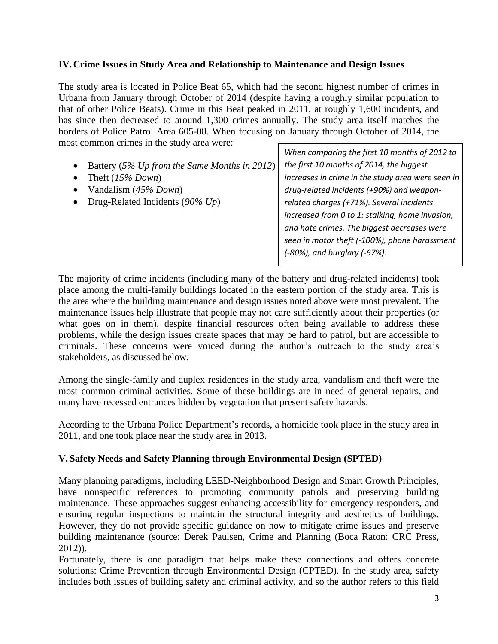#### **IV.Crime Issues in Study Area and Relationship to Maintenance and Design Issues**

The study area is located in Police Beat 65, which had the second highest number of crimes in Urbana from January through October of 2014 (despite having a roughly similar population to that of other Police Beats). Crime in this Beat peaked in 2011, at roughly 1,600 incidents, and has since then decreased to around 1,300 crimes annually. The study area itself matches the borders of Police Patrol Area 605-08. When focusing on January through October of 2014, the most common crimes in the study area were:

- Battery (*5% Up from the Same Months in 2012*)
- Theft (*15% Down*)
- Vandalism (*45% Down*)
- Drug-Related Incidents (*90% Up*)

*When comparing the first 10 months of 2012 to the first 10 months of 2014, the biggest increases in crime in the study area were seen in drug-related incidents (+90%) and weaponrelated charges (+71%). Several incidents increased from 0 to 1: stalking, home invasion, and hate crimes. The biggest decreases were seen in motor theft (-100%), phone harassment (-80%), and burglary (-67%).*

The majority of crime incidents (including many of the battery and drug-related incidents) took place among the multi-family buildings located in the eastern portion of the study area. This is the area where the building maintenance and design issues noted above were most prevalent. The maintenance issues help illustrate that people may not care sufficiently about their properties (or what goes on in them), despite financial resources often being available to address these problems, while the design issues create spaces that may be hard to patrol, but are accessible to criminals. These concerns were voiced during the author's outreach to the study area's stakeholders, as discussed below.

Among the single-family and duplex residences in the study area, vandalism and theft were the most common criminal activities. Some of these buildings are in need of general repairs, and many have recessed entrances hidden by vegetation that present safety hazards.

According to the Urbana Police Department's records, a homicide took place in the study area in 2011, and one took place near the study area in 2013.

### **V. Safety Needs and Safety Planning through Environmental Design (SPTED)**

Many planning paradigms, including LEED-Neighborhood Design and Smart Growth Principles, have nonspecific references to promoting community patrols and preserving building maintenance. These approaches suggest enhancing accessibility for emergency responders, and ensuring regular inspections to maintain the structural integrity and aesthetics of buildings. However, they do not provide specific guidance on how to mitigate crime issues and preserve building maintenance (source: Derek Paulsen, Crime and Planning (Boca Raton: CRC Press, 2012)).

Fortunately, there is one paradigm that helps make these connections and offers concrete solutions: Crime Prevention through Environmental Design (CPTED). In the study area, safety includes both issues of building safety and criminal activity, and so the author refers to this field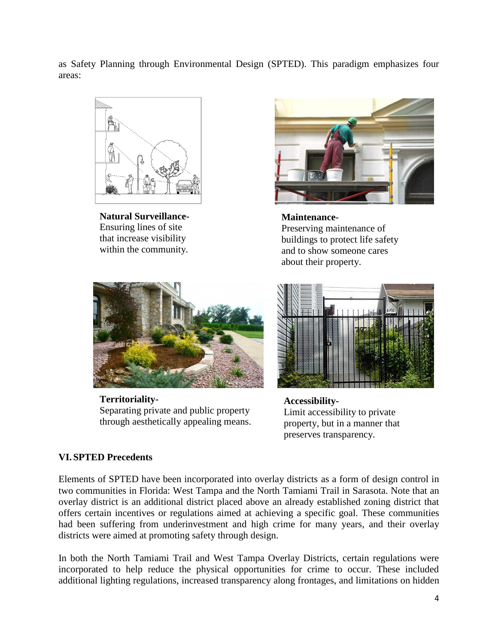as Safety Planning through Environmental Design (SPTED). This paradigm emphasizes four areas:



**Natural Surveillance-**Ensuring lines of site that increase visibility within the community.



**Maintenance-**Preserving maintenance of buildings to protect life safety and to show someone cares about their property.



**Territoriality-**Separating private and public property through aesthetically appealing means.



**Accessibility-**Limit accessibility to private property, but in a manner that preserves transparency.

### **VI.SPTED Precedents**

Elements of SPTED have been incorporated into overlay districts as a form of design control in two communities in Florida: West Tampa and the North Tamiami Trail in Sarasota. Note that an overlay district is an additional district placed above an already established zoning district that offers certain incentives or regulations aimed at achieving a specific goal. These communities had been suffering from underinvestment and high crime for many years, and their overlay districts were aimed at promoting safety through design.

In both the North Tamiami Trail and West Tampa Overlay Districts, certain regulations were incorporated to help reduce the physical opportunities for crime to occur. These included additional lighting regulations, increased transparency along frontages, and limitations on hidden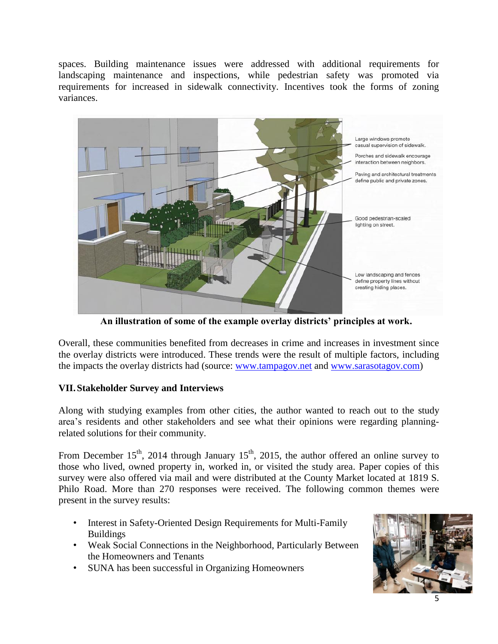spaces. Building maintenance issues were addressed with additional requirements for landscaping maintenance and inspections, while pedestrian safety was promoted via requirements for increased in sidewalk connectivity. Incentives took the forms of zoning variances.



**An illustration of some of the example overlay districts' principles at work.**

Overall, these communities benefited from decreases in crime and increases in investment since the overlay districts were introduced. These trends were the result of multiple factors, including the impacts the overlay districts had (source: [www.tampagov.net](http://www.tampagov.net/) and [www.sarasotagov.com\)](http://www.sarasotagov.com/)

### **VII.Stakeholder Survey and Interviews**

Along with studying examples from other cities, the author wanted to reach out to the study area's residents and other stakeholders and see what their opinions were regarding planningrelated solutions for their community.

From December  $15<sup>th</sup>$ , 2014 through January  $15<sup>th</sup>$ , 2015, the author offered an online survey to those who lived, owned property in, worked in, or visited the study area. Paper copies of this survey were also offered via mail and were distributed at the County Market located at 1819 S. Philo Road. More than 270 responses were received. The following common themes were present in the survey results:

- Interest in Safety-Oriented Design Requirements for Multi-Family Buildings
- Weak Social Connections in the Neighborhood, Particularly Between the Homeowners and Tenants
- SUNA has been successful in Organizing Homeowners

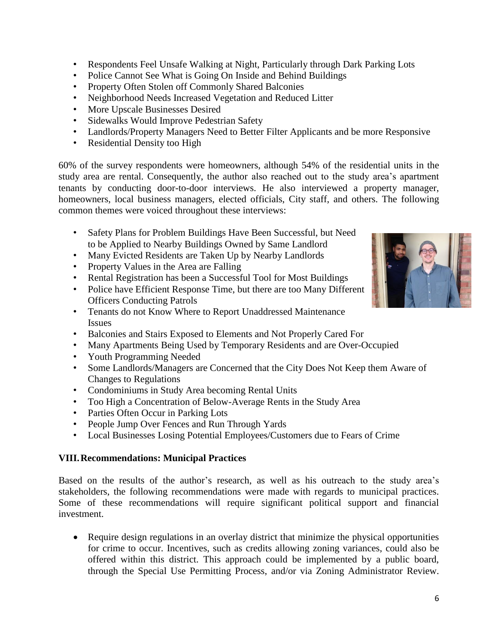- Respondents Feel Unsafe Walking at Night, Particularly through Dark Parking Lots
- Police Cannot See What is Going On Inside and Behind Buildings
- Property Often Stolen off Commonly Shared Balconies
- Neighborhood Needs Increased Vegetation and Reduced Litter
- More Upscale Businesses Desired
- Sidewalks Would Improve Pedestrian Safety
- Landlords/Property Managers Need to Better Filter Applicants and be more Responsive
- Residential Density too High

60% of the survey respondents were homeowners, although 54% of the residential units in the study area are rental. Consequently, the author also reached out to the study area's apartment tenants by conducting door-to-door interviews. He also interviewed a property manager, homeowners, local business managers, elected officials, City staff, and others. The following common themes were voiced throughout these interviews:

- Safety Plans for Problem Buildings Have Been Successful, but Need to be Applied to Nearby Buildings Owned by Same Landlord
- Many Evicted Residents are Taken Up by Nearby Landlords
- Property Values in the Area are Falling
- Rental Registration has been a Successful Tool for Most Buildings
- Police have Efficient Response Time, but there are too Many Different Officers Conducting Patrols
- Tenants do not Know Where to Report Unaddressed Maintenance Issues
- Balconies and Stairs Exposed to Elements and Not Properly Cared For
- Many Apartments Being Used by Temporary Residents and are Over-Occupied
- Youth Programming Needed
- Some Landlords/Managers are Concerned that the City Does Not Keep them Aware of Changes to Regulations
- Condominiums in Study Area becoming Rental Units
- Too High a Concentration of Below-Average Rents in the Study Area
- Parties Often Occur in Parking Lots
- People Jump Over Fences and Run Through Yards
- Local Businesses Losing Potential Employees/Customers due to Fears of Crime

#### **VIII.Recommendations: Municipal Practices**

Based on the results of the author's research, as well as his outreach to the study area's stakeholders, the following recommendations were made with regards to municipal practices. Some of these recommendations will require significant political support and financial investment.

 Require design regulations in an overlay district that minimize the physical opportunities for crime to occur. Incentives, such as credits allowing zoning variances, could also be offered within this district. This approach could be implemented by a public board, through the Special Use Permitting Process, and/or via Zoning Administrator Review.